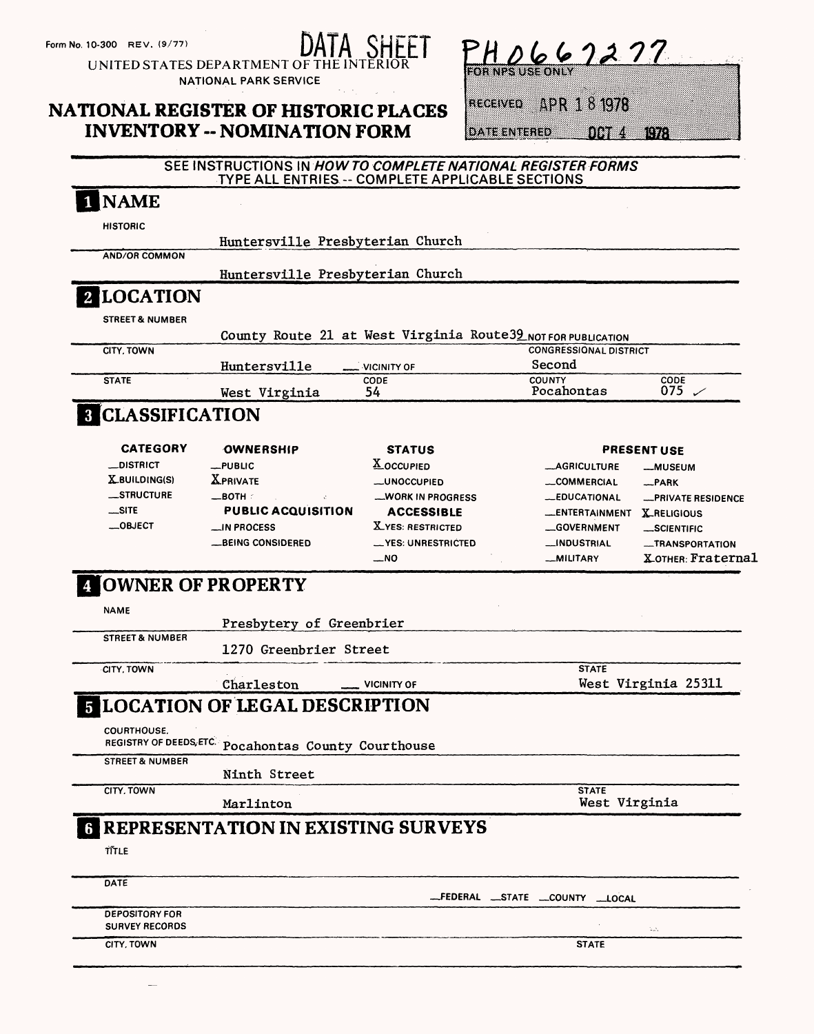Form No. 10-300 REV. (9/77)<br>  $\frac{D A I A}{D A H E}$ 

UNITED STATES DEPARTMENT OF THE INTERIOR NATIONAL PARK SERVICE

# NATIONAL REGISTER OF HISTORIC PLACES INVENTORY - NOMINATION FORM

 $PHO662277$ 

RECEIVED APR 1 8 1978

DATE ENTERED OCT 4 1978

### SEE INSTRUCTIONS IN #OW **TO COMPLETE NATIONAL REGISTER FORMS**  TYPE ALL ENTRIES -- COMPLETE APPLICABLE SECTIONS

| <b>HISTORIC</b><br>Huntersville Presbyterian Church<br><b>AND/OR COMMON</b><br>Huntersville Presbyterian Church<br><b>2 LOCATION</b><br><b>STREET &amp; NUMBER</b><br>County Route 21 at West Virginia Route39 NOT FOR PUBLICATION<br><b>CITY, TOWN</b><br><b>CONGRESSIONAL DISTRICT</b><br>Second<br>Huntersville<br><b>VICINITY OF</b><br><b>STATE</b><br>CODE<br><b>COUNTY</b><br>CODE<br>075 $\swarrow$<br>Pocahontas<br>54<br>West Virginia<br><b>8 CLASSIFICATION</b><br><b>CATEGORY</b><br>OWNERSHIP<br><b>STATUS</b><br><b>PRESENT USE</b><br><b>X</b> OCCUPIED<br>__DISTRICT<br>$-$ PUBLIC<br><b>__AGRICULTURE</b><br><b>__MUSEUM</b><br><b>XPRIVATE</b><br>$X$ BUILDING(S)<br><b>_UNOCCUPIED</b><br><b>__COMMERCIAL</b><br>$R$ PARK<br>__STRUCTURE<br>$\_$ BOTH $\,$ :<br><b>__WORK IN PROGRESS</b><br><b>_EDUCATIONAL</b><br>$$ SITE<br><b>PUBLIC ACQUISITION</b><br><b>ACCESSIBLE</b><br><b>LENTERTAINMENT</b><br><b>X_RELIGIOUS</b><br>$\_$ OBJECT<br><b>X_YES: RESTRICTED</b><br><b>__IN PROCESS</b><br><b>GOVERNMENT</b><br>__SCIENTIFIC<br><b>__BEING CONSIDERED</b><br>__YES: UNRESTRICTED<br><b>__INDUSTRIAL</b><br>$\sim$ NO<br>_MILITARY<br><b>COWNER OF PROPERTY</b><br><b>NAME</b><br>Presbytery of Greenbrier<br><b>STREET &amp; NUMBER</b><br>1270 Greenbrier Street<br><b>STATE</b><br>CITY, TOWN<br>West Virginia 25311<br>Charleston<br><b>VICINITY OF</b><br><b>5 LOCATION OF LEGAL DESCRIPTION</b><br>COURTHOUSE.<br>REGISTRY OF DEEDS, ETC. Pocahontas County Courthouse<br><b>STREET &amp; NUMBER</b><br>Ninth Street<br><b>CITY, TOWN</b><br><b>STATE</b><br>West Virginia<br>Marlinton<br><b>6 REPRESENTATION IN EXISTING SURVEYS</b><br>TITLE<br>DATE<br>__FEDERAL __STATE __COUNTY __LOCAL<br><b>DEPOSITORY FOR</b><br><b>SURVEY RECORDS</b><br>$\mathbb{E}[\mathcal{N}_\sigma]$<br>CITY, TOWN<br><b>STATE</b> |  |  |  |                           |
|---------------------------------------------------------------------------------------------------------------------------------------------------------------------------------------------------------------------------------------------------------------------------------------------------------------------------------------------------------------------------------------------------------------------------------------------------------------------------------------------------------------------------------------------------------------------------------------------------------------------------------------------------------------------------------------------------------------------------------------------------------------------------------------------------------------------------------------------------------------------------------------------------------------------------------------------------------------------------------------------------------------------------------------------------------------------------------------------------------------------------------------------------------------------------------------------------------------------------------------------------------------------------------------------------------------------------------------------------------------------------------------------------------------------------------------------------------------------------------------------------------------------------------------------------------------------------------------------------------------------------------------------------------------------------------------------------------------------------------------------------------------------------------------------------------------------------------------------------|--|--|--|---------------------------|
|                                                                                                                                                                                                                                                                                                                                                                                                                                                                                                                                                                                                                                                                                                                                                                                                                                                                                                                                                                                                                                                                                                                                                                                                                                                                                                                                                                                                                                                                                                                                                                                                                                                                                                                                                                                                                                                   |  |  |  |                           |
|                                                                                                                                                                                                                                                                                                                                                                                                                                                                                                                                                                                                                                                                                                                                                                                                                                                                                                                                                                                                                                                                                                                                                                                                                                                                                                                                                                                                                                                                                                                                                                                                                                                                                                                                                                                                                                                   |  |  |  |                           |
|                                                                                                                                                                                                                                                                                                                                                                                                                                                                                                                                                                                                                                                                                                                                                                                                                                                                                                                                                                                                                                                                                                                                                                                                                                                                                                                                                                                                                                                                                                                                                                                                                                                                                                                                                                                                                                                   |  |  |  |                           |
|                                                                                                                                                                                                                                                                                                                                                                                                                                                                                                                                                                                                                                                                                                                                                                                                                                                                                                                                                                                                                                                                                                                                                                                                                                                                                                                                                                                                                                                                                                                                                                                                                                                                                                                                                                                                                                                   |  |  |  |                           |
|                                                                                                                                                                                                                                                                                                                                                                                                                                                                                                                                                                                                                                                                                                                                                                                                                                                                                                                                                                                                                                                                                                                                                                                                                                                                                                                                                                                                                                                                                                                                                                                                                                                                                                                                                                                                                                                   |  |  |  |                           |
|                                                                                                                                                                                                                                                                                                                                                                                                                                                                                                                                                                                                                                                                                                                                                                                                                                                                                                                                                                                                                                                                                                                                                                                                                                                                                                                                                                                                                                                                                                                                                                                                                                                                                                                                                                                                                                                   |  |  |  |                           |
|                                                                                                                                                                                                                                                                                                                                                                                                                                                                                                                                                                                                                                                                                                                                                                                                                                                                                                                                                                                                                                                                                                                                                                                                                                                                                                                                                                                                                                                                                                                                                                                                                                                                                                                                                                                                                                                   |  |  |  |                           |
|                                                                                                                                                                                                                                                                                                                                                                                                                                                                                                                                                                                                                                                                                                                                                                                                                                                                                                                                                                                                                                                                                                                                                                                                                                                                                                                                                                                                                                                                                                                                                                                                                                                                                                                                                                                                                                                   |  |  |  |                           |
|                                                                                                                                                                                                                                                                                                                                                                                                                                                                                                                                                                                                                                                                                                                                                                                                                                                                                                                                                                                                                                                                                                                                                                                                                                                                                                                                                                                                                                                                                                                                                                                                                                                                                                                                                                                                                                                   |  |  |  |                           |
|                                                                                                                                                                                                                                                                                                                                                                                                                                                                                                                                                                                                                                                                                                                                                                                                                                                                                                                                                                                                                                                                                                                                                                                                                                                                                                                                                                                                                                                                                                                                                                                                                                                                                                                                                                                                                                                   |  |  |  |                           |
|                                                                                                                                                                                                                                                                                                                                                                                                                                                                                                                                                                                                                                                                                                                                                                                                                                                                                                                                                                                                                                                                                                                                                                                                                                                                                                                                                                                                                                                                                                                                                                                                                                                                                                                                                                                                                                                   |  |  |  |                           |
|                                                                                                                                                                                                                                                                                                                                                                                                                                                                                                                                                                                                                                                                                                                                                                                                                                                                                                                                                                                                                                                                                                                                                                                                                                                                                                                                                                                                                                                                                                                                                                                                                                                                                                                                                                                                                                                   |  |  |  |                           |
|                                                                                                                                                                                                                                                                                                                                                                                                                                                                                                                                                                                                                                                                                                                                                                                                                                                                                                                                                                                                                                                                                                                                                                                                                                                                                                                                                                                                                                                                                                                                                                                                                                                                                                                                                                                                                                                   |  |  |  |                           |
|                                                                                                                                                                                                                                                                                                                                                                                                                                                                                                                                                                                                                                                                                                                                                                                                                                                                                                                                                                                                                                                                                                                                                                                                                                                                                                                                                                                                                                                                                                                                                                                                                                                                                                                                                                                                                                                   |  |  |  |                           |
|                                                                                                                                                                                                                                                                                                                                                                                                                                                                                                                                                                                                                                                                                                                                                                                                                                                                                                                                                                                                                                                                                                                                                                                                                                                                                                                                                                                                                                                                                                                                                                                                                                                                                                                                                                                                                                                   |  |  |  | <b>_PRIVATE RESIDENCE</b> |
|                                                                                                                                                                                                                                                                                                                                                                                                                                                                                                                                                                                                                                                                                                                                                                                                                                                                                                                                                                                                                                                                                                                                                                                                                                                                                                                                                                                                                                                                                                                                                                                                                                                                                                                                                                                                                                                   |  |  |  |                           |
|                                                                                                                                                                                                                                                                                                                                                                                                                                                                                                                                                                                                                                                                                                                                                                                                                                                                                                                                                                                                                                                                                                                                                                                                                                                                                                                                                                                                                                                                                                                                                                                                                                                                                                                                                                                                                                                   |  |  |  |                           |
|                                                                                                                                                                                                                                                                                                                                                                                                                                                                                                                                                                                                                                                                                                                                                                                                                                                                                                                                                                                                                                                                                                                                                                                                                                                                                                                                                                                                                                                                                                                                                                                                                                                                                                                                                                                                                                                   |  |  |  | <b>__TRANSPORTATION</b>   |
|                                                                                                                                                                                                                                                                                                                                                                                                                                                                                                                                                                                                                                                                                                                                                                                                                                                                                                                                                                                                                                                                                                                                                                                                                                                                                                                                                                                                                                                                                                                                                                                                                                                                                                                                                                                                                                                   |  |  |  | X отнєв Fraternal         |
|                                                                                                                                                                                                                                                                                                                                                                                                                                                                                                                                                                                                                                                                                                                                                                                                                                                                                                                                                                                                                                                                                                                                                                                                                                                                                                                                                                                                                                                                                                                                                                                                                                                                                                                                                                                                                                                   |  |  |  |                           |
|                                                                                                                                                                                                                                                                                                                                                                                                                                                                                                                                                                                                                                                                                                                                                                                                                                                                                                                                                                                                                                                                                                                                                                                                                                                                                                                                                                                                                                                                                                                                                                                                                                                                                                                                                                                                                                                   |  |  |  |                           |
|                                                                                                                                                                                                                                                                                                                                                                                                                                                                                                                                                                                                                                                                                                                                                                                                                                                                                                                                                                                                                                                                                                                                                                                                                                                                                                                                                                                                                                                                                                                                                                                                                                                                                                                                                                                                                                                   |  |  |  |                           |
|                                                                                                                                                                                                                                                                                                                                                                                                                                                                                                                                                                                                                                                                                                                                                                                                                                                                                                                                                                                                                                                                                                                                                                                                                                                                                                                                                                                                                                                                                                                                                                                                                                                                                                                                                                                                                                                   |  |  |  |                           |
|                                                                                                                                                                                                                                                                                                                                                                                                                                                                                                                                                                                                                                                                                                                                                                                                                                                                                                                                                                                                                                                                                                                                                                                                                                                                                                                                                                                                                                                                                                                                                                                                                                                                                                                                                                                                                                                   |  |  |  |                           |
|                                                                                                                                                                                                                                                                                                                                                                                                                                                                                                                                                                                                                                                                                                                                                                                                                                                                                                                                                                                                                                                                                                                                                                                                                                                                                                                                                                                                                                                                                                                                                                                                                                                                                                                                                                                                                                                   |  |  |  |                           |
|                                                                                                                                                                                                                                                                                                                                                                                                                                                                                                                                                                                                                                                                                                                                                                                                                                                                                                                                                                                                                                                                                                                                                                                                                                                                                                                                                                                                                                                                                                                                                                                                                                                                                                                                                                                                                                                   |  |  |  |                           |
|                                                                                                                                                                                                                                                                                                                                                                                                                                                                                                                                                                                                                                                                                                                                                                                                                                                                                                                                                                                                                                                                                                                                                                                                                                                                                                                                                                                                                                                                                                                                                                                                                                                                                                                                                                                                                                                   |  |  |  |                           |
|                                                                                                                                                                                                                                                                                                                                                                                                                                                                                                                                                                                                                                                                                                                                                                                                                                                                                                                                                                                                                                                                                                                                                                                                                                                                                                                                                                                                                                                                                                                                                                                                                                                                                                                                                                                                                                                   |  |  |  |                           |
|                                                                                                                                                                                                                                                                                                                                                                                                                                                                                                                                                                                                                                                                                                                                                                                                                                                                                                                                                                                                                                                                                                                                                                                                                                                                                                                                                                                                                                                                                                                                                                                                                                                                                                                                                                                                                                                   |  |  |  |                           |
|                                                                                                                                                                                                                                                                                                                                                                                                                                                                                                                                                                                                                                                                                                                                                                                                                                                                                                                                                                                                                                                                                                                                                                                                                                                                                                                                                                                                                                                                                                                                                                                                                                                                                                                                                                                                                                                   |  |  |  |                           |
|                                                                                                                                                                                                                                                                                                                                                                                                                                                                                                                                                                                                                                                                                                                                                                                                                                                                                                                                                                                                                                                                                                                                                                                                                                                                                                                                                                                                                                                                                                                                                                                                                                                                                                                                                                                                                                                   |  |  |  |                           |
|                                                                                                                                                                                                                                                                                                                                                                                                                                                                                                                                                                                                                                                                                                                                                                                                                                                                                                                                                                                                                                                                                                                                                                                                                                                                                                                                                                                                                                                                                                                                                                                                                                                                                                                                                                                                                                                   |  |  |  |                           |
|                                                                                                                                                                                                                                                                                                                                                                                                                                                                                                                                                                                                                                                                                                                                                                                                                                                                                                                                                                                                                                                                                                                                                                                                                                                                                                                                                                                                                                                                                                                                                                                                                                                                                                                                                                                                                                                   |  |  |  |                           |
|                                                                                                                                                                                                                                                                                                                                                                                                                                                                                                                                                                                                                                                                                                                                                                                                                                                                                                                                                                                                                                                                                                                                                                                                                                                                                                                                                                                                                                                                                                                                                                                                                                                                                                                                                                                                                                                   |  |  |  |                           |
|                                                                                                                                                                                                                                                                                                                                                                                                                                                                                                                                                                                                                                                                                                                                                                                                                                                                                                                                                                                                                                                                                                                                                                                                                                                                                                                                                                                                                                                                                                                                                                                                                                                                                                                                                                                                                                                   |  |  |  |                           |
|                                                                                                                                                                                                                                                                                                                                                                                                                                                                                                                                                                                                                                                                                                                                                                                                                                                                                                                                                                                                                                                                                                                                                                                                                                                                                                                                                                                                                                                                                                                                                                                                                                                                                                                                                                                                                                                   |  |  |  |                           |
|                                                                                                                                                                                                                                                                                                                                                                                                                                                                                                                                                                                                                                                                                                                                                                                                                                                                                                                                                                                                                                                                                                                                                                                                                                                                                                                                                                                                                                                                                                                                                                                                                                                                                                                                                                                                                                                   |  |  |  |                           |
|                                                                                                                                                                                                                                                                                                                                                                                                                                                                                                                                                                                                                                                                                                                                                                                                                                                                                                                                                                                                                                                                                                                                                                                                                                                                                                                                                                                                                                                                                                                                                                                                                                                                                                                                                                                                                                                   |  |  |  |                           |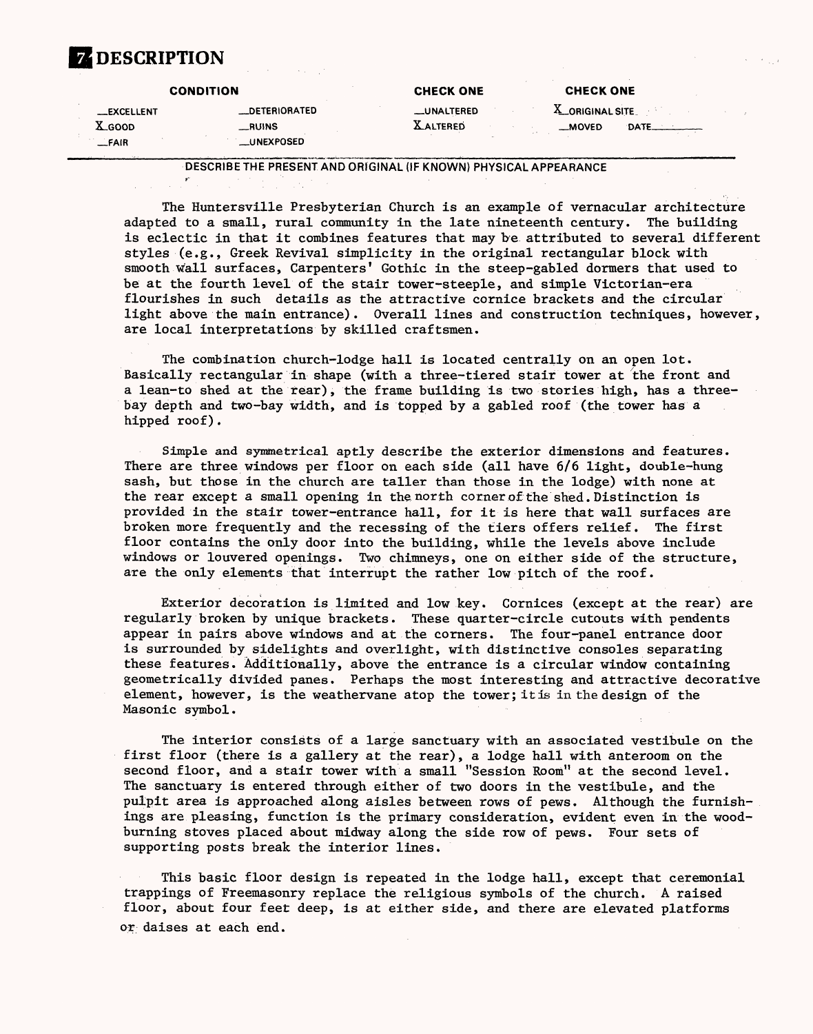### **ZEDESCRIPTION**

|                                       | <b>CONDITION</b>                                    | <b>CHECK ONE</b>               | <b>CHECK ONE</b>                     |
|---------------------------------------|-----------------------------------------------------|--------------------------------|--------------------------------------|
| <b>EXCELLENT</b><br>X.GOOD<br>$-FAIR$ | <b>DETERIORATED</b><br>__RUINS<br><b>_UNEXPOSED</b> | __UNALTERED<br><b>XALTERED</b> | $X$ ORIGINAL SITE<br>__MOVED<br>DATE |

DESCRIBE THE PRESENT AND ORIGINAL (IF KNOWN) PHYSICAL APPEARANCE

The Huntersville Presbyterian Church is an example of vernacular architecture adapted to a small, rural community in the late nineteenth century. The building is eclectic in that it combines features that may be attributed to several different styles (e.g., Greek Revival simplicity in the original rectangular block with smooth wall surfaces, Carpenters' Gothic in the steep-gabled dormers that used to be at the fourth level of the stair tower-steeple, and simple Victorian-era flourishes in such details as the attractive cornice brackets and the circular light above the main entrance). Overall lines and construction techniques, however, are local interpretations by skilled craftsmen.

The combination church-lodge hall is located centrally on an open lot. Basically rectangular in shape (with a three-tiered stair tower at the front and a lean-to shed at the rear), the frame building is two stories high, has a threebay depth and two-bay width, and is topped by a gabled roof (the tower has a hipped roof).

Simple and symmetrical aptly describe the exterior dimensions and features. There are three windows per floor on each side (all have 6/6 light, double-hung sash, but those in the church are taller than those in the lodge) with none at the rear except a small opening in the north cornerof the shed. Distinction is provided in the stair tower-entrance hall, for it is here that wall surfaces are broken more frequently and the recessing of the tiers offers relief. The first floor contains the only door into the building, while the levels above include windows or louvered openings. Two chimneys, one on either side of the structure, are the only elements that interrupt the rather low pitch of the roof.

Exterior decoration is limited and low key. Cornices (except at the rear) are regularly broken by unique brackets. These quarter-circle cutouts with pendents appear in pairs above windows and at the corners. The four-panel entrance door is surrounded by sidelights and overlight, with distinctive consoles separating these features. Additionally, above the entrance is a circular window containing geometrically divided panes. Perhaps the most interesting and attractive decorative element, however, is the weathervane atop the tower; it is in the design of the Masonic symbol.

The interior consists of a large sanctuary with an associated vestibule on the first floor (there is a gallery at the rear), a lodge hall with anteroom on the second floor, and a stair tower with a small "Session Room" at the second level. The sanctuary is entered through either of two doors in the vestibule, and the pulpit area is approached along aisles between rows of pews. Although the furnishings are pleasing, function is the primary consideration, evident even in the woodburning stoves placed about midway along the side row of pews. Four sets of supporting posts break the interior lines.

This basic floor design is repeated in the lodge hall, except that ceremonial trappings of Freemasonry replace the religious symbols of the church. A raised floor, about four feet deep, is at either side, and there are elevated platforms or daises at each end.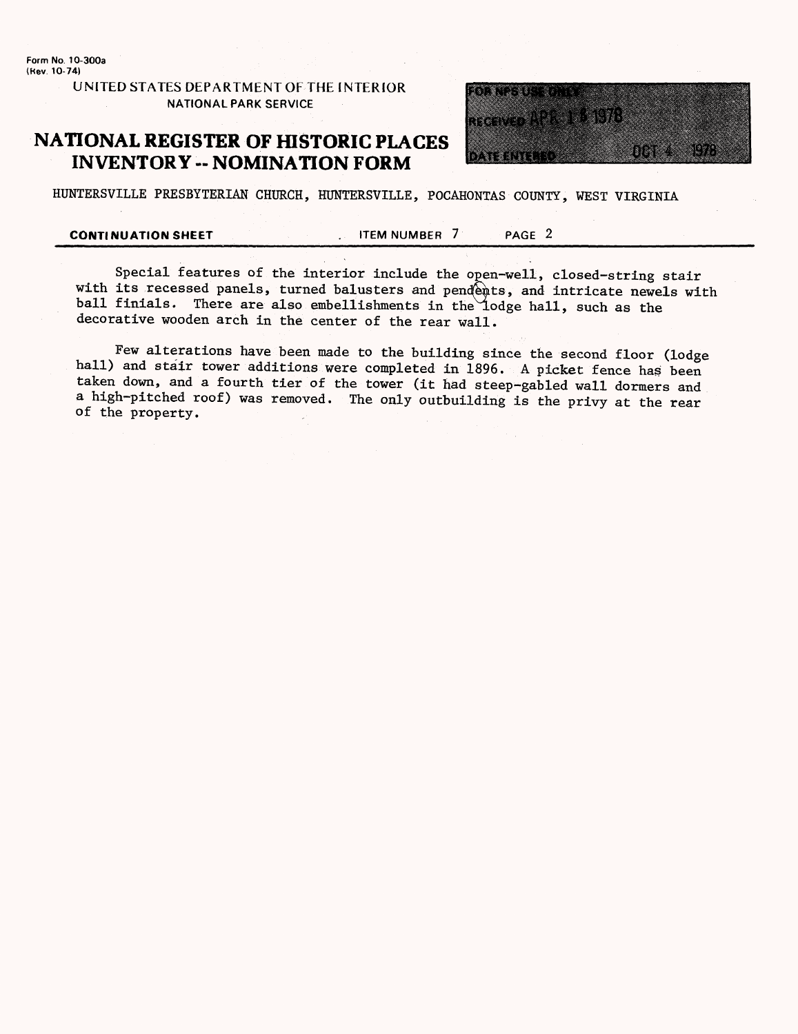**Form No. 10-300a (Kev. 10-74)**

### **UNITED STATES DEPARTMENT OF THE INTERIOR NATIONAL PARK SERVICE**

### **NATIONAL REGISTER OF HISTORIC PLACES INVENTORY - NOMINATION FORM**



HUNTERSVILLE PRESBYTERIAN CHURCH, HUNTERSVILLE, POCAHONTAS COUNTY, WEST VIRGINIA

**CONTINUATION SHEET** FILM NUMBER 7 PAGE 2

Special features of the interior include the open-well, closed-string stair with its recessed panels, turned balusters and pendents, and intricate newels with ball finials. There are also embellishments in the lodge hall, such as the decorative wooden arch in the center of the rear wall.

Few alterations have been made to the building since the second floor (lodge hall) and stair tower additions were completed in 1896. A picket fence has been taken down, and a fourth tier of the tower (it had steep-gabled wall dormers and a high-pitched roof) was removed. The only outbuilding is the privy at the rear of the property.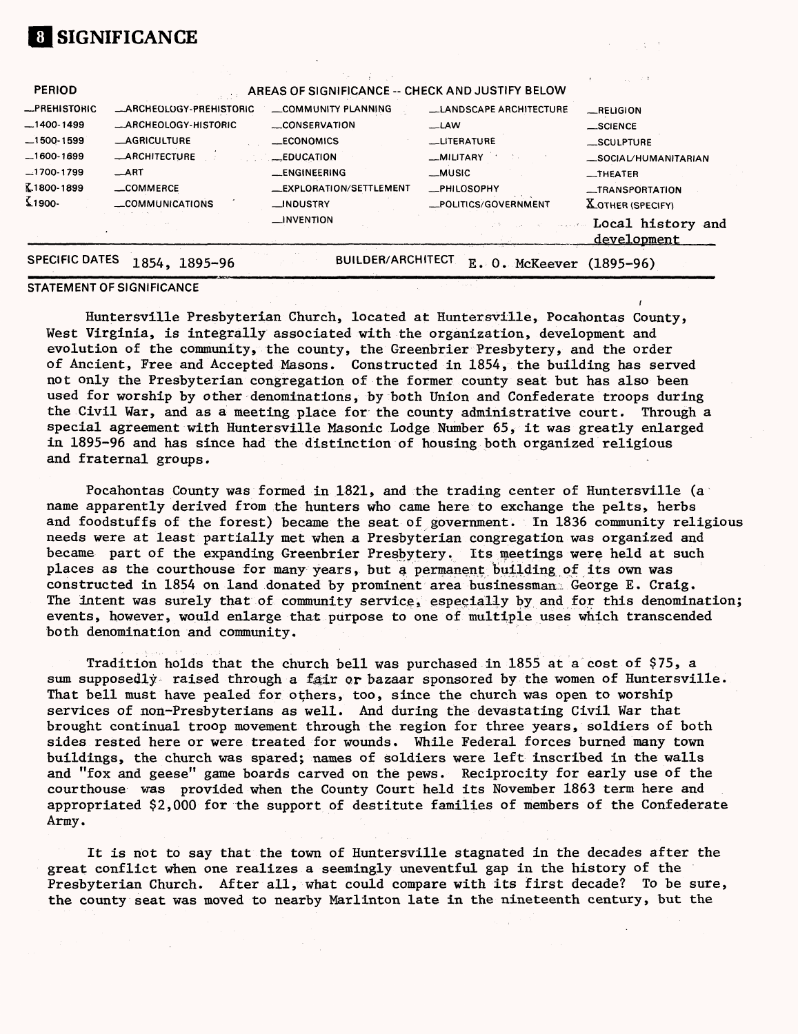| _COMMERCE<br><b>COMMUNICATIONS</b> | __EXPLORATION/SETTLEMENT<br>__INDUSTRY<br>__INVENTION | <b>_PHILOSOPHY</b><br>__POLITICS/GOVERNMENT | -TRANSPORTATION<br><b>XOTHER (SPECIFY)</b><br>Local history and |
|------------------------------------|-------------------------------------------------------|---------------------------------------------|-----------------------------------------------------------------|
|                                    |                                                       |                                             |                                                                 |
|                                    |                                                       |                                             |                                                                 |
|                                    |                                                       |                                             |                                                                 |
| ART                                | <b>__ENGINEERING</b>                                  | __MUSIC                                     | $\overline{\phantom{0}}$ THEATER                                |
| -ARCHITECTURE                      | __EDUCATION                                           | _MILITARY                                   | _SOCIAL/HUMANITARIAN                                            |
| <b>_AGRICULTURE</b>                | __ECONOMICS                                           | <b>LITERATURE</b>                           | SCULPTURE                                                       |
| <b>ARCHEOLOGY-HISTORIC</b>         | CONSERVATION                                          | __LAW                                       | $\_$ SCIENCE                                                    |
| _ARCHEOLOGY-PREHISTORIC            | COMMUNITY PLANNING                                    | <b>__LANDSCAPE ARCHITECTURE</b>             | RELIGION                                                        |
|                                    |                                                       |                                             |                                                                 |
|                                    |                                                       |                                             |                                                                 |
|                                    |                                                       |                                             | AREAS OF SIGNIFICANCE -- CHECK AND JUSTIFY BELOW                |

### **STATEMENT OF SIGNIFICANCE**

**SIGNIFICANCE**

Huntersville Presbyterian Church, located at Huntersville, Pocahontas County, West Virginia, is integrally associated with the organization, development and evolution of the community, the county, the Greenbrier Presbytery, and the order of Ancient, Free and Accepted Masons. Constructed in 1854, the building has served not only the Presbyterian congregation of the former county seat but has also been used for worship by other denominations, by both Union and Confederate troops during the Civil War, and as a meeting place for the county administrative court. Through a special agreement with Huntersville Masonic Lodge Number 65, it was greatly enlarged in 1895-96 and has since had the distinction of housing both organized religious and fraternal groups.

Pocahontas County was formed in 1821, and the trading center of Huntersville (a name apparently derived from the hunters who came here to exchange the pelts, herbs and foodstuffs of the forest) became the seat of government. In 1836 community religious needs were at least partially met when a Presbyterian congregation was organized and became part of the expanding Greenbrier Presbytery. Its meetings were held at such places as the courthouse for many years, but a permanent building of its own was constructed in 1854 on land donated by prominent area businessman. George E. Craig. The intent was surely that of community service, especially by and for this denomination; events, however, would enlarge that purpose to one of multiple uses which transcended both denomination and community.

Tradition holds that the church bell was purchased in 1855 at a cost of \$75, a sum supposedly raised through a fair or bazaar sponsored by the women of Huntersville. That bell must have pealed for others, too, since the church was open to worship services of non-Presbyterians as well. And during the devastating Civil War that brought continual troop movement through the region for three years, soldiers of both sides rested here or were treated for wounds. While Federal forces burned many town buildings, the church was spared; names of soldiers were left inscribed in the walls and "fox and geese" game boards carved on the pews. Reciprocity for early use of the courthouse was provided when the County Court held its November 1863 term here and appropriated \$2,000 for the support of destitute families of members of the Confederate Army.

It is not to say that the town of Huntersville stagnated in the decades after the great conflict when one realizes a seemingly uneventful gap in the history of the Presbyterian Church. After all, what could compare with its first decade? To be sure, the county seat was moved to nearby Marlinton late in the nineteenth century, but the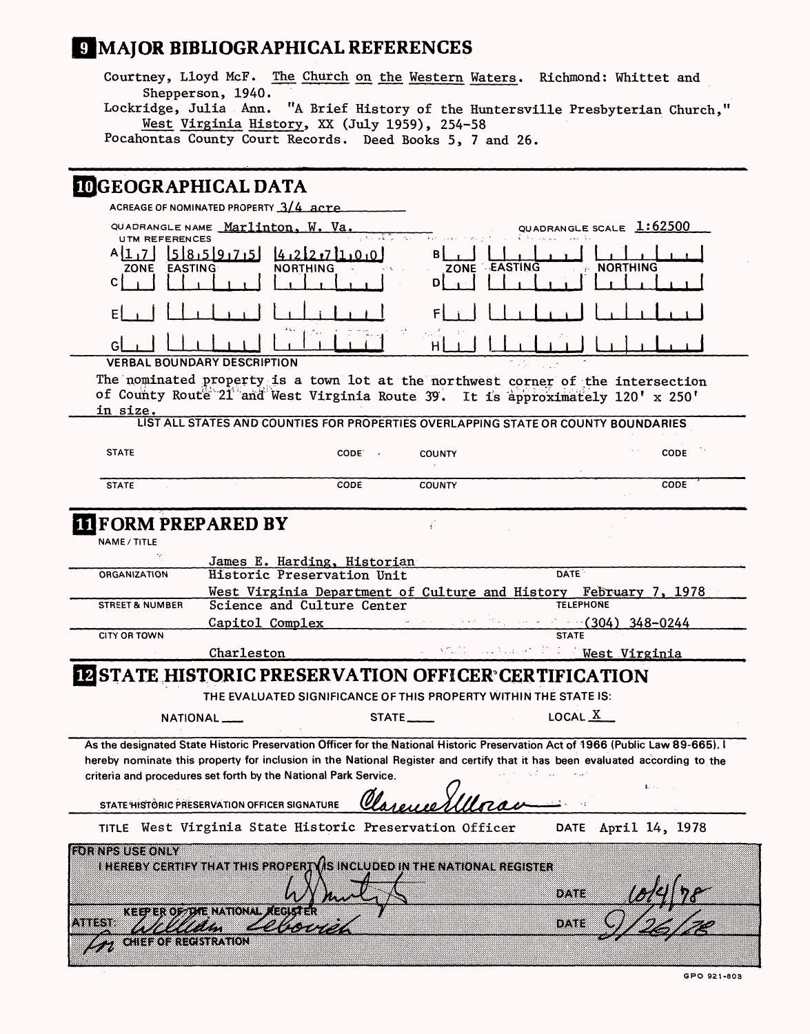# **9 MAJOR BIBLIOGRAPHICAL REFERENCES**

Courtney, Lloyd McF. The Church on the Western Waters. Richmond: Whittet and Shepperson, 1940. Lockridge, Julia Ann. "A Brief History of the Huntersville Presbyterian Church,"

West Virginia History, XX (July 1959), 254-58

Pocahontas County Court Records. Deed Books 5, 7 and 26.

# **DECEDED ADUICAL DATA**

| maranyii iiiain nu ili                                            | ACREAGE OF NOMINATED PROPERTY 3/4 acre                                                         |                                                           |                         |                                                                                                                                                                                                                                                                 |                     |
|-------------------------------------------------------------------|------------------------------------------------------------------------------------------------|-----------------------------------------------------------|-------------------------|-----------------------------------------------------------------------------------------------------------------------------------------------------------------------------------------------------------------------------------------------------------------|---------------------|
|                                                                   | QUADRANGLE NAME Marlinton, W. Va.                                                              |                                                           |                         | QUADRANGLE SCALE 1:62500                                                                                                                                                                                                                                        |                     |
| <b>UTM REFERENCES</b><br>A [1 ,7 1<br><b>EASTING</b><br>ZONE      | 1518, 519, 7, 51<br><b>NORTHING</b>                                                            | 4.212.711.0.0                                             | вı<br>ZONE EASTING<br>D | <b>NORTHING</b>                                                                                                                                                                                                                                                 |                     |
|                                                                   |                                                                                                |                                                           |                         |                                                                                                                                                                                                                                                                 |                     |
|                                                                   |                                                                                                |                                                           |                         |                                                                                                                                                                                                                                                                 |                     |
|                                                                   | <b>VERBAL BOUNDARY DESCRIPTION</b>                                                             |                                                           |                         |                                                                                                                                                                                                                                                                 |                     |
| in size.                                                          |                                                                                                |                                                           |                         | The nominated property is a town lot at the northwest corner of the intersection<br>of County Route 21 and West Virginia Route 39. It is approximately 120' x 250'                                                                                              |                     |
|                                                                   |                                                                                                |                                                           |                         | LIST ALL STATES AND COUNTIES FOR PROPERTIES OVERLAPPING STATE OR COUNTY BOUNDARIES                                                                                                                                                                              |                     |
| <b>STATE</b>                                                      |                                                                                                | $CODE$ .                                                  | <b>COUNTY</b>           |                                                                                                                                                                                                                                                                 | CODE                |
| <b>STATE</b>                                                      |                                                                                                | <b>CODE</b>                                               | <b>COUNTY</b>           |                                                                                                                                                                                                                                                                 | CODE                |
| <b>II FORM PREPARED BY</b><br>NAME / TITLE<br><b>ORGANIZATION</b> |                                                                                                | James E. Harding, Historian<br>Historic Preservation Unit |                         | <b>DATE</b>                                                                                                                                                                                                                                                     |                     |
| <b>STREET &amp; NUMBER</b>                                        |                                                                                                | Science and Culture Center                                |                         | West Virginia Department of Culture and History February 7, 1978<br><b>TELEPHONE</b>                                                                                                                                                                            |                     |
|                                                                   |                                                                                                |                                                           |                         | Capitol Complex $(304)$ 348-0244                                                                                                                                                                                                                                |                     |
| <b>CITY OR TOWN</b>                                               |                                                                                                |                                                           |                         | <b>STATE</b>                                                                                                                                                                                                                                                    |                     |
|                                                                   | Charleston                                                                                     |                                                           |                         | a stall an based in Fight Virginia                                                                                                                                                                                                                              |                     |
| <b>IN STATE HISTORIC PRESERVATION OFFICER CERTIFICATION</b>       |                                                                                                |                                                           |                         | THE EVALUATED SIGNIFICANCE OF THIS PROPERTY WITHIN THE STATE IS:                                                                                                                                                                                                |                     |
|                                                                   | NATIONAL                                                                                       | STATE                                                     |                         | LOCAL $X$                                                                                                                                                                                                                                                       |                     |
| criteria and procedures set forth by the National Park Service.   | STATE HISTORIC PRESERVATION OFFICER SIGNATURE                                                  |                                                           |                         | As the designated State Historic Preservation Officer for the National Historic Preservation Act of 1966 (Public Law 89-665), I<br>hereby nominate this property for inclusion in the National Register and certify that it has been evaluated according to the |                     |
|                                                                   | TITLE West Virginia State Historic Preservation Officer                                        |                                                           |                         |                                                                                                                                                                                                                                                                 | DATE April 14, 1978 |
| <b>EQUIVES USE ONLY</b><br>(રૂ.સંગ્રહી ગોરેશી ક <i>રો</i>         | I HEREBY CERTIFY THAT THIS PROPERTY IS INCLUDED IN THE NATIONAL REGISTER<br>THE NATIONAL REGIS |                                                           |                         | 82983                                                                                                                                                                                                                                                           |                     |
| .3883.38                                                          | SILINI                                                                                         |                                                           |                         | DATE                                                                                                                                                                                                                                                            |                     |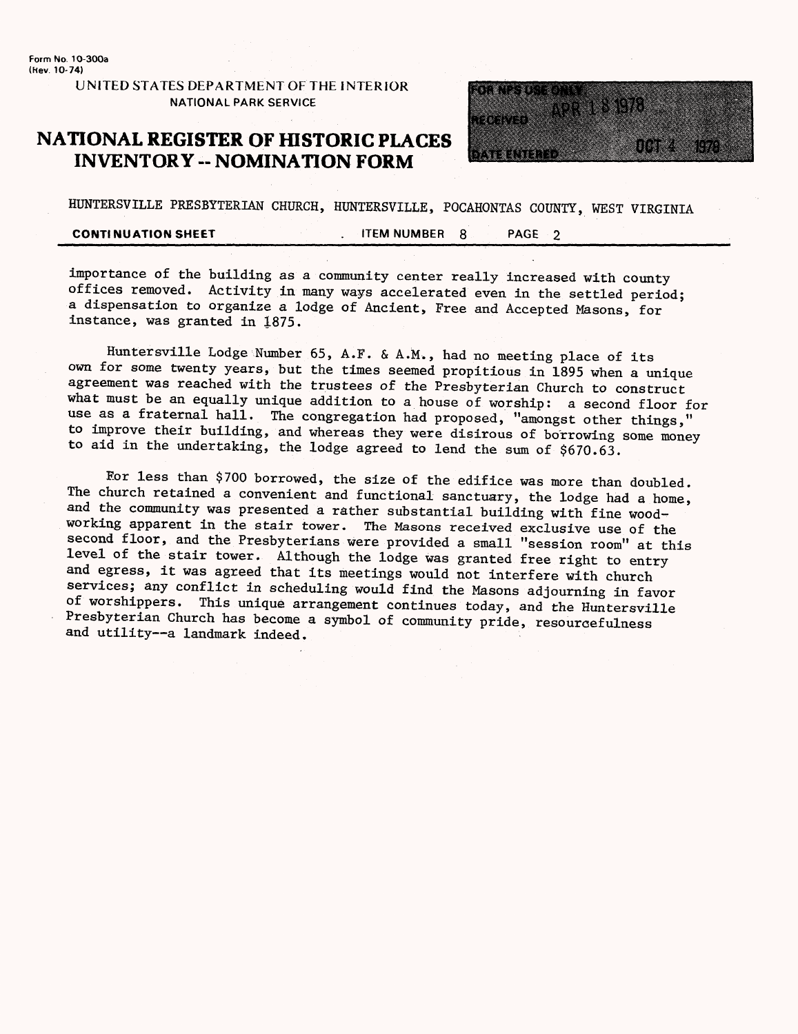Form **No. 1O-300a**  (Hev. **10-74)**

> **UNITED STATES DEPARTMENT OF THE INTERIOR**  NATIONAL PARK SERVICE

### **NATIONAL REGISTER OF HISTORIC PLACES INVENTORY - NOMINATION FORM**



HUNTERSVILLE PRESBYTERIAN CHURCH, HUNTERSVILLE, POCAHONTAS COUNTY, WEST VIRGINIA

**CONTINUATION SHEET AT LITEM NUMBER 8 AGE 2** 

importance of the building as a community center really increased with county offices removed. Activity in many ways accelerated even in the settled period; a dispensation to organize a lodge of Ancient, Free and Accepted Masons, for instance, was granted in 1875.

Huntersville Lodge Number 65, A.F. & A.M., had no meeting place of its own for some twenty years, but the times seemed propitious in 1895 when a unique agreement was reached with the trustees of the Presbyterian Church to construct what must be an equally unique addition to a house of worship: a second floor for use as a fraternal hall. The congregation had proposed, "amongst other things," to improve their building, and whereas they were disirous of borrowing some money to aid in the undertaking, the lodge agreed to lend the sum of  $$670.63$ .

For less than \$700 borrowed, the size of the edifice was more than doubled. The church retained a convenient and functional sanctuary, the lodge had a home, and the community was presented a rather substantial building with fine woodworking apparent in the stair tower. The Masons received exclusive use of the second floor, and the Presbyterians were provided a small "session room" at this level of the stair tower. Although the lodge was granted free right to entry and egress, it was agreed that its meetings would not interfere with church services; any conflict in scheduling would find the Masons adjourning in favor of worshippers. This unique arrangement continues today, and the Huntersville Presbyterian Church has become a symbol of community pride, resourcefulness and utility--a landmark indeed.